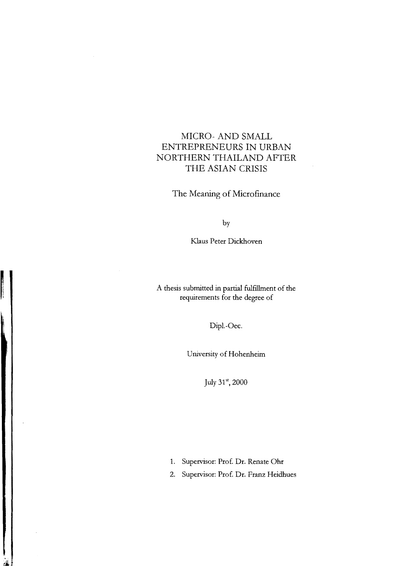# MICRO- AND SMALL ENTREPRENEURS IN URBAN NORTHERN THAILAND AFTER THE ASIAN CRISIS

The Meaning *oE* Microfinance

by

Klaus Peter Dickhoven

A thesis submitted in partial fulfillment of the requirements for the degree of

Dipl.-Oec.

University of Hohenheim

July  $31^{\rm st}$ , 2000

 $\overline{\phantom{a}}$ 

1. Supervisor: Prof. Dr. Renate Ohr

2. Supervisor: Prof. Dr. Franz Heidhues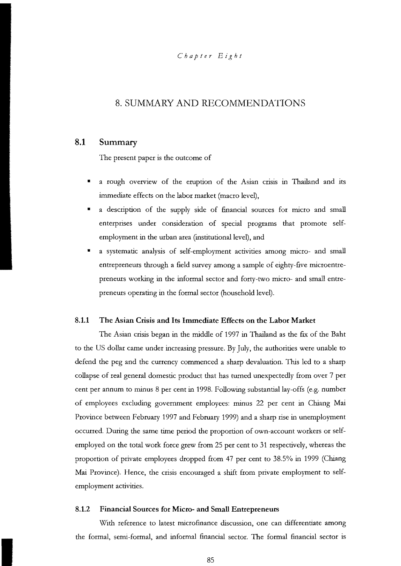# 8. SUMMARY AND RECOMMENDATIONS

# **8.1** Summary

The present paper is the outcome of

- a rough overview of the eruption of the Asian crisis in Thailand and its immediate effects on the labor market (macro level),
- a description of the supply side of financial sources for micro and small enterprises under consideration of special programs that promote selfemployment in the urban area (institutional level), and
- a systematic analysis of self-employment activities among micro- and small entrepreneurs through a field survey among a sample of eighty-five microentrepreneurs working in the informal sector and forty-two micro- and small entrepreneurs operating in the formal sector (household level).

## 8.1.1 The Asian Crisis and Its Immediate Effects on the Labor Market

The Asian crisis began in the rniddle of 1997 in Thailand as the fix of the Baht to the US dollar came under increasing pressure. By July, the authorities were unable to defend the peg and the currency commenced a sharp devaluation. This led to a sharp collapse of real general domestic product that has turned unexpectedly from over 7 per cent per annum to minus 8 per cent in 1998. Following substantiallay-offs (e.g. number of employees exeluding govemment employees: minus 22 per cent in Chiang Mai Province between February 1997 and February 1999) and a sharp rise in unemployment occurred. During the same time period the proportion of own-account workers or selfemployed on the total work force grew from 25 per cent to 31 respectively, whereas the proportion of private employees dropped from 47 per cent to 38.5% in 1999 (Chiang Mai Province). Hence, the crisis encouraged a shift from private employment to selfemployment activities.

#### 8.1.2 Financial Sources for Micro- and Small Entrepreneurs

With reference to latest microfinance discussion, one can differentiate among the formal, serni-formal, and informal financial sector. The formal financial sector is

 $\alpha$  $\epsilon$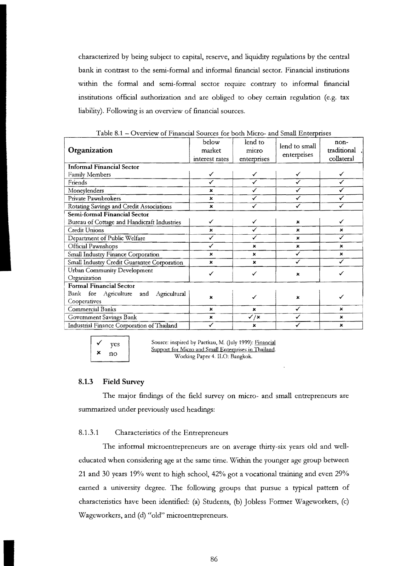eharaeterized by being subjeet to eapital, reserve, and liquidity regulations by the eentral bank in contrast to the semi-formal and informal fmaneial sector. Financial institutions within the formal and semi-formal sector require contrary to informal financial institutions official authorization and are obliged to obey certain regulation (e.g. tax liability). Following is an overview of finaneial sourees.

| Organization                                                                                                                                                       | below<br>market<br>interest rates | lend to<br>micro<br>enterprises | lend to small<br>enterprises | non-<br>traditional<br>collateral |
|--------------------------------------------------------------------------------------------------------------------------------------------------------------------|-----------------------------------|---------------------------------|------------------------------|-----------------------------------|
| <b>Informal Financial Sector</b>                                                                                                                                   |                                   |                                 |                              |                                   |
| Family Members                                                                                                                                                     | ✓                                 | ✓                               | ✓                            | ✓                                 |
| Friends                                                                                                                                                            | ✓                                 | ✓                               | ✓                            | ✓                                 |
| Moneylenders                                                                                                                                                       | ×                                 | ✓                               | ✓                            | ✓                                 |
| Private Pawnbrokers                                                                                                                                                | ×                                 | ✓                               | ✓                            | ✓                                 |
| Rotating Savings and Credit Associations                                                                                                                           | $\pmb{\times}$                    | ✓                               | ✓                            | ✓                                 |
| Semi-formal Financial Sector                                                                                                                                       |                                   |                                 |                              |                                   |
| Bureau of Cottage and Handicraft Industries                                                                                                                        | ✓                                 | ✓                               | ×                            | ✓                                 |
| <b>Credit Unions</b>                                                                                                                                               | ×                                 | ✓                               | ×                            | ×                                 |
| Department of Public Welfare                                                                                                                                       | ✓                                 | ✓                               | ×                            | ✓                                 |
| Official Pawnshops                                                                                                                                                 | ✓                                 | ×                               | ×                            | ×                                 |
| Small Industry Finance Corporation                                                                                                                                 | $\pmb{\times}$                    | $\mathbf{x}$                    | ✓                            | $\mathbf{x}$                      |
| Small Industry Credit Guarantee Corporation                                                                                                                        | ×                                 | $\mathbf x$                     | ✓                            | $\checkmark$                      |
| <b>Urban Community Development</b><br>Organization                                                                                                                 | ✓                                 | ✓                               | ×                            | ✓                                 |
| <b>Formal Financial Sector</b>                                                                                                                                     |                                   |                                 |                              |                                   |
| Bank for Agriculture and<br>Agricultural<br>Cooperatives                                                                                                           | $\boldsymbol{\mathsf{x}}$         | ✓                               | ×                            | ✓                                 |
| Commercial Banks                                                                                                                                                   | ×                                 | $\mathbf x$                     | ✓                            | $\mathbf x$                       |
| Government Savings Bank                                                                                                                                            | $\boldsymbol{\mathsf{x}}$         | $\checkmark$ / $\checkmark$     | ✓                            | $\mathbf x$                       |
| Industrial Finance Corporation of Thailand                                                                                                                         | ✓                                 | ×                               | ✓                            | ×                                 |
| Source: inspired by Paetkau, M. (July 1999): Financial<br>yes<br>Support for Micro and Small Enterprises in Thailand.<br>×<br>no<br>Working Dense 4 II O. Renalisk |                                   |                                 |                              |                                   |

Table 8.1 - Overview of Financial Sources for both Micro- and Small Enterprises

yes<br>Source: inspired by Paetkau, M. (July 1999): <u>Financial</u><br>Support for Micro and Small Enterprises in Thailand.<br>Working Paper 4. ILO: Bangkok. Working Paper 4. ILO: Bangkok.

#### 8.1.3 **Field** Survey

The major findings of the field survey on micro- and small entrepreneurs are summarized under previously used headings:

#### 8.1.3.1 Characteristies of the Entrepreneurs

The informal microentrepreneurs are on average thirty-six years old and welleducated when eonsidering age at the same time. Within the younger age group between 21 and 30 years 19% went to high sehool, 42% got a voeational training and even 29% earned a university degree. The following groups that pursue a typical pattern of characteristics have been identified: (a) Students, (b) Jobless Former Wageworkers, (e) Wageworkers, and (d) "old" microentrepreneurs.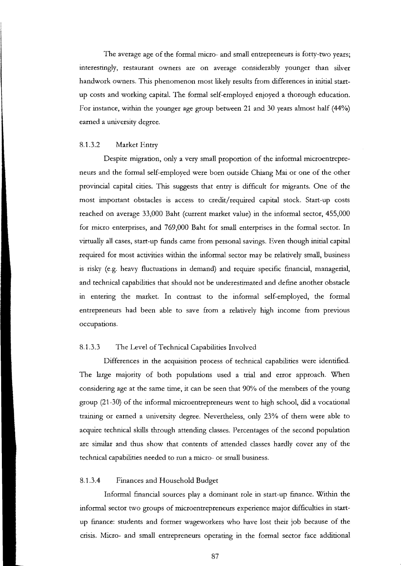The average age of the formal micro- and small entrepreneurs is forty-two years; interestingly, restaurant owners are on average considerably younger than silver handwork owners. This phenomenon most likely results from differences in initial startup costs and working capital. The formal self-employed enjoyed a thorough education. For instance, within the younger age group between 21 and 30 years almost half (44%) earned a university degree.

#### 8.1.3.2 Market Entry

Despite migration, only a very small proportion of the infonnal microentreprene urs and the fonnal self-employed were born outside Chiang Mai or one of the other provincial capital cities. This suggests that entry is difficult for migrants. One of the most important obstacles is access to credit/ required capital stock. Start-up costs reached on average 33,000 Baht (current market value) in the informal sector, 455,000 for micro enterprises, and 769,000 Baht for small enterprises in the fonnal sector. In virtually all cases, start-up funds came from personal savings. Even though initial capital required for most activities within the infonnal sector may be relatively small, business is risky (e.g. heavy fluctuations in demand) and require specific financial, managerial, and technical capabilities that should not be underestimated and define another obstacle in entering the market. In contrast to the informal self-employed, the formal entrepreneurs had been able to save from a relatively high income from previous occupations.

#### 8.1.3.3 The Level of Technical Capabilities Involved

Differences in the acquisition process of technical capabilities were identified. Tbe large majority of both populations used a trial and error approach. When considering age at the same time, it can be seen that 90% of the members of the young group (21-30) of the mfonnal microentrepreneurs went to high school, did a vocational training or earned a university degree. Nevertheless, only 23% of them were able to acquire technical skills through attending classes. Percentages of the second population are similar and thus show that contents of attended classes hardly cover any of the technical capabilities needed to run a micro- or small business.

### 8.1.3.4 Finances and Household Budget

Informal financial sources play a dominant role in start-up finance. Within the informal sector two groups of microentrepreneurs experience major difficulties in startup fmance: students and former wageworkers who have lost their job because of the crisis. Micro- and small entrepreneurs operating in the fonnal sector face additional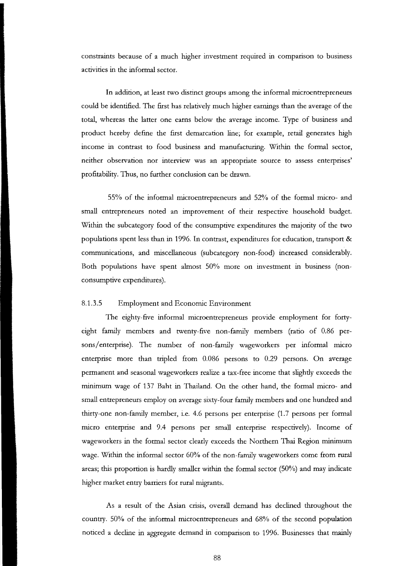eonstraints beeause of a mueh higher investment required in eomparison to business aetivities in the informal sector.

**In** addition, at least two distinet groups among the informal mieroentrepreneurs eould be identified. The first has relatively mueh higher earnings than the average of the total, whereas the latter one eams below the average ineome. Type of business and produet hereby define the first demareation line; for example, retail generates high ineome in contrast to food business and manufaeturing. Within the formal sector, neither observation nor interview was an appropriate souree to assess enterprises' profitability. Thus, no further conclusion ean be drawn.

55% of the informal mieroentrepreneurs and 52% of the formal miero- and small entrepreneurs noted an improvement of their respective household budget. Within the subeategory food of the consumptive expenditures the majority of the two populations spent less than in 1996. **In** contrast, expenditures for edueation, transport & eommunieations, and miseellaneous (subeategory non-food) inereased eonsiderably. Both populations have spent ahnost 50% more on investment in business (noneonsumptive expenditures).

#### 8.1.3.5 Employment and Economic Environment

The eighty-five informal mieroentrepreneurs provide employment for fortyeight family members and twenty-five non-family members (ratio of 0.86 persons/enterprise). The number of non-family wageworkers per informal miero enterprise more than tripled from 0.086 persons to 0.29 persons. On average permanent and seasonal wageworkers realize a tax-free ineome that slighdy exeeeds the minimum wage of 137 Baht in Thailand. On the other hand, the formal miero- and small entrepreneurs employ on average sixty-four family members and one hundred and thirty-one non-family member, i.e. 4.6 persons per enterprise (1.7 persons per formal miero enterprise and 9.4 persons per small enterprise respeetively). Ineome of wageworkers in the formal sector clearly exceeds the Northern Thai Region minimum wage. Within the informal sector 60% of the non-family wageworkers eome from rural areas; this proportion is hardly smaller within the formal sector  $(50\%)$  and may indicate higher market entry barriers for rural migrants.

As a result of the Asian erisis, overall demand has deelined throughout the eountry. 50% of the informal mieroentrepreneurs and 68% of the seeond population notieed a deeline in aggregate demand in comparison to 1996. Businesses that mainly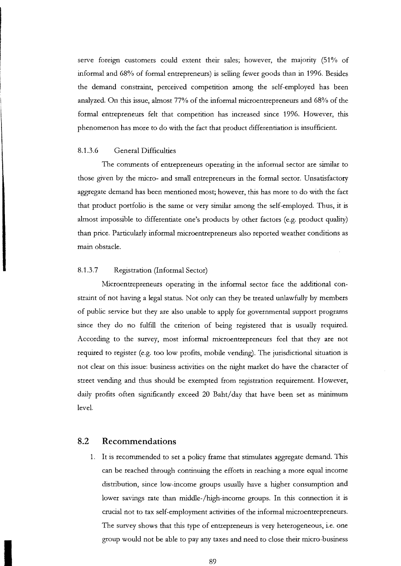serve foreign customers could extent their sales; however, the majority (51% of informal and 68% of formal entrepreneurs) is selling fewer goods than in 1996. Besides the demand constraint, perceived competition among the self-employed has been analyzed. On this issue, ahnost 77% of the informal microentrepreneurs and 68% of the formal entrepreneurs felt that competition has increased since 1996. However, this phenomenon has more to do with the fact that product differentiation is insufficient.

## 8.1.3.6 General Difficulties

The comments of entrepreneurs operating in the informal sector are similar to those given by the micro- and small entrepreneurs in the formal sector. Unsatisfactory aggregate demand has been mentioned most; however, this has more to do with the fact that product portfolio is the same or very similar among the self-employed. Thus, it is ahnost impossible to differentiate one's products by other factors (e.g. product quality) than price. Particularly informal microentrepreneurs also reported weather conditions as main obstade.

#### 8.1.3.7 Registration (Informal Sector)

Nlicroentrepreneurs operating in the informal sector face the additional constraint of not having a legal status. Not only can they be treated unlawfully by members of public service but they are also unable to apply for governmental support programs since they do no fulfill the criterion of being registered that is usually required. According to the survey, most informal microentrepreneurs feel that they are not required to register (e.g. too low profits, mobile vending). The jurisdictional situation is not dear on this issue: business activities on the night market do have the character of street vending and thus should be exempted from registration requirement. However, daily profits often significantly exceed 20 Baht/day that have been set as minimum level.

# **8.2 Recommendations**

1. It is recommended to set a policy frame that stimulates aggregate demand. This can be reached through continuing the efforts in reaching a more equal income distribution, since low-income groups usually have a higher consumption and lower savings rate than middle-/high-income groups. In this connection it is crucial not to tax self-employment activities of the informal microentrepreneurs. The survey shows that this type of entrepreneurs is very heterogeneous, i.e. one group would not be able to pay any taxes and need to dose their micro-business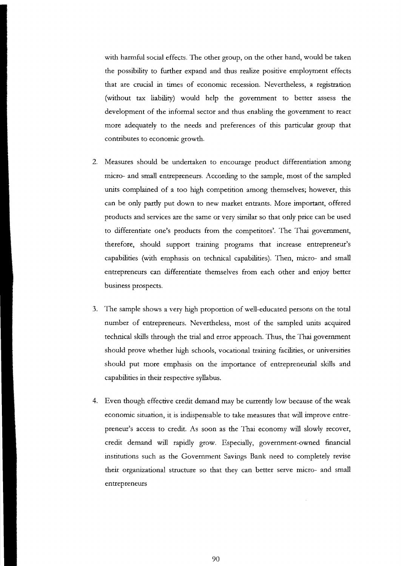with harmful social effects. The other group, on the other hand, would be taken the possibility to further expand and thus realize positive employment effects that are crucial in times of economic recession. Nevertheless, a registration (without tax liability) would help the government to better assess the development of the informal sector and thus enabling the government to react more adequately to the needs and preferences of this particular group that contributes to economic growth.

- 2. Measures should be undertaken to encourage product differentiation among micro- and small entrepreneurs. According to the sample, most of the sampled units complained of a too high competition among themselves; however, this can be only partly put down to new market enttants. More important, offered products and services are the same or very similar so that only price can be used to differentiate one's products from the competitors'. The Thai government, therefore, should support training programs that increase entrepreneur's capabilities (with emphasis on technical capabilities). Then, micro- and small entrepreneurs can differentiate themselves from each other and enjoy better business prospects.
- 3. The sample shows a very high proportion of well-educated persons on the total number of entrepreneurs. Nevertheless, most of the sampled units acquired techrucal skills through the trial and error approach. Thus, the Thai govemment should prove whether high schools, vocational training facilities, or universities should put more emphasis on the importance of entrepreneurial skills and capabilities in their respective syllabus.
- 4. Even though effective credit demand may be currently low because of the weak economic situation, it is indispensable to take measures that will improve entrepreneur's access to credit. As soon as the Thai economy will slowly recover, credit demand will rapidly grow. Especially, government-owned financial institutions such as the Government Savings Bank need to completely revise their organizational sttucture so that they can better serve micro- and small entrepreneurs